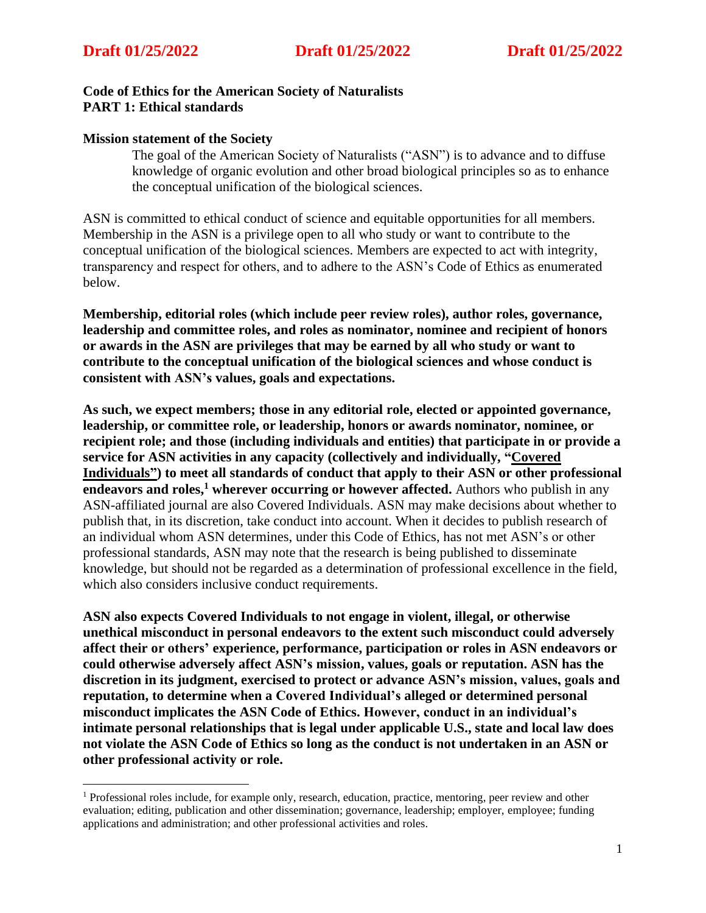## **Code of Ethics for the American Society of Naturalists PART 1: Ethical standards**

### **Mission statement of the Society**

The goal of the American Society of Naturalists ("ASN") is to advance and to diffuse knowledge of organic evolution and other broad biological principles so as to enhance the conceptual unification of the biological sciences.

ASN is committed to ethical conduct of science and equitable opportunities for all members. Membership in the ASN is a privilege open to all who study or want to contribute to the conceptual unification of the biological sciences. Members are expected to act with integrity, transparency and respect for others, and to adhere to the ASN's Code of Ethics as enumerated below.

**Membership, editorial roles (which include peer review roles), author roles, governance, leadership and committee roles, and roles as nominator, nominee and recipient of honors or awards in the ASN are privileges that may be earned by all who study or want to contribute to the conceptual unification of the biological sciences and whose conduct is consistent with ASN's values, goals and expectations.**

**As such, we expect members; those in any editorial role, elected or appointed governance, leadership, or committee role, or leadership, honors or awards nominator, nominee, or recipient role; and those (including individuals and entities) that participate in or provide a service for ASN activities in any capacity (collectively and individually, "Covered Individuals") to meet all standards of conduct that apply to their ASN or other professional endeavors and roles, <sup>1</sup> wherever occurring or however affected.** Authors who publish in any ASN-affiliated journal are also Covered Individuals. ASN may make decisions about whether to publish that, in its discretion, take conduct into account. When it decides to publish research of an individual whom ASN determines, under this Code of Ethics, has not met ASN's or other professional standards, ASN may note that the research is being published to disseminate knowledge, but should not be regarded as a determination of professional excellence in the field, which also considers inclusive conduct requirements.

**ASN also expects Covered Individuals to not engage in violent, illegal, or otherwise unethical misconduct in personal endeavors to the extent such misconduct could adversely affect their or others' experience, performance, participation or roles in ASN endeavors or could otherwise adversely affect ASN's mission, values, goals or reputation. ASN has the discretion in its judgment, exercised to protect or advance ASN's mission, values, goals and reputation, to determine when a Covered Individual's alleged or determined personal misconduct implicates the ASN Code of Ethics. However, conduct in an individual's intimate personal relationships that is legal under applicable U.S., state and local law does not violate the ASN Code of Ethics so long as the conduct is not undertaken in an ASN or other professional activity or role.**

<sup>1</sup> Professional roles include, for example only, research, education, practice, mentoring, peer review and other evaluation; editing, publication and other dissemination; governance, leadership; employer, employee; funding applications and administration; and other professional activities and roles.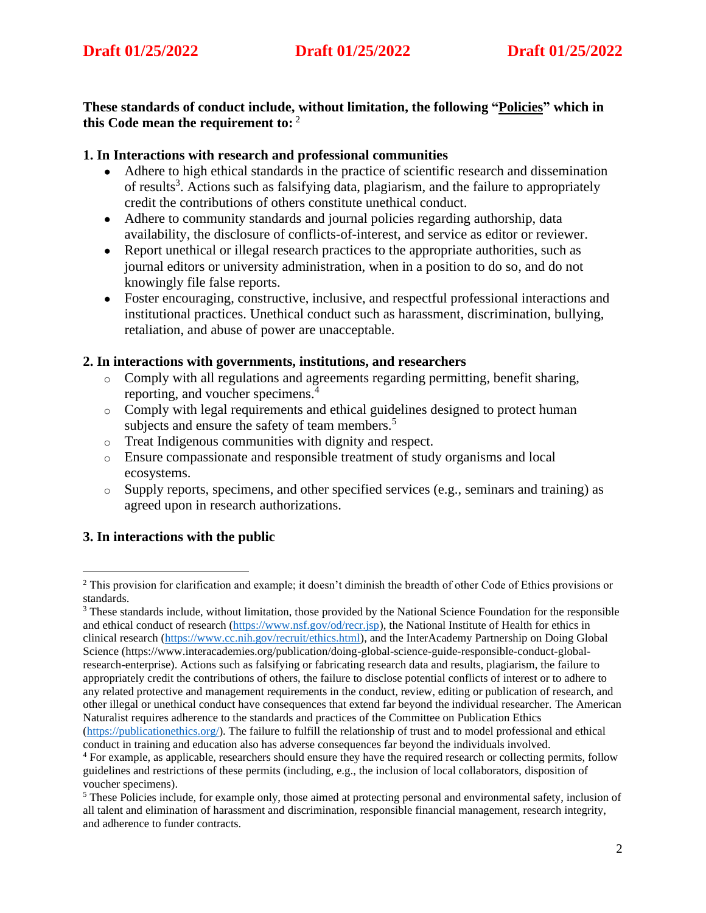**These standards of conduct include, without limitation, the following "Policies" which in this Code mean the requirement to:** 2

## **1. In Interactions with research and professional communities**

- Adhere to high ethical standards in the practice of scientific research and dissemination of results<sup>3</sup>. Actions such as falsifying data, plagiarism, and the failure to appropriately credit the contributions of others constitute unethical conduct.
- Adhere to community standards and journal policies regarding authorship, data availability, the disclosure of conflicts-of-interest, and service as editor or reviewer.
- Report unethical or illegal research practices to the appropriate authorities, such as journal editors or university administration, when in a position to do so, and do not knowingly file false reports.
- Foster encouraging, constructive, inclusive, and respectful professional interactions and institutional practices. Unethical conduct such as harassment, discrimination, bullying, retaliation, and abuse of power are unacceptable.

## **2. In interactions with governments, institutions, and researchers**

- Comply with all regulations and agreements regarding permitting, benefit sharing, reporting, and voucher specimens.<sup>4</sup>
- o Comply with legal requirements and ethical guidelines designed to protect human subjects and ensure the safety of team members.<sup>5</sup>
- o Treat Indigenous communities with dignity and respect.
- o Ensure compassionate and responsible treatment of study organisms and local ecosystems.
- o Supply reports, specimens, and other specified services (e.g., seminars and training) as agreed upon in research authorizations.

# **3. In interactions with the public**

<sup>3</sup> These standards include, without limitation, those provided by the National Science Foundation for the responsible and ethical conduct of research [\(https://www.nsf.gov/od/recr.jsp\)](https://www.nsf.gov/od/recr.jsp), the National Institute of Health for ethics in clinical research [\(https://www.cc.nih.gov/recruit/ethics.html\)](https://www.cc.nih.gov/recruit/ethics.html), and the InterAcademy Partnership on Doing Global Science (https://www.interacademies.org/publication/doing-global-science-guide-responsible-conduct-globalresearch-enterprise). Actions such as falsifying or fabricating research data and results, plagiarism, the failure to appropriately credit the contributions of others, the failure to disclose potential conflicts of interest or to adhere to any related protective and management requirements in the conduct, review, editing or publication of research, and other illegal or unethical conduct have consequences that extend far beyond the individual researcher. The American Naturalist requires adherence to the standards and practices of the Committee on Publication Ethics [\(https://publicationethics.org/\)](https://publicationethics.org/). The failure to fulfill the relationship of trust and to model professional and ethical

<sup>&</sup>lt;sup>2</sup> This provision for clarification and example; it doesn't diminish the breadth of other Code of Ethics provisions or standards.

conduct in training and education also has adverse consequences far beyond the individuals involved.

<sup>4</sup> For example, as applicable, researchers should ensure they have the required research or collecting permits, follow guidelines and restrictions of these permits (including, e.g., the inclusion of local collaborators, disposition of voucher specimens).

<sup>5</sup> These Policies include, for example only, those aimed at protecting personal and environmental safety, inclusion of all talent and elimination of harassment and discrimination, responsible financial management, research integrity, and adherence to funder contracts.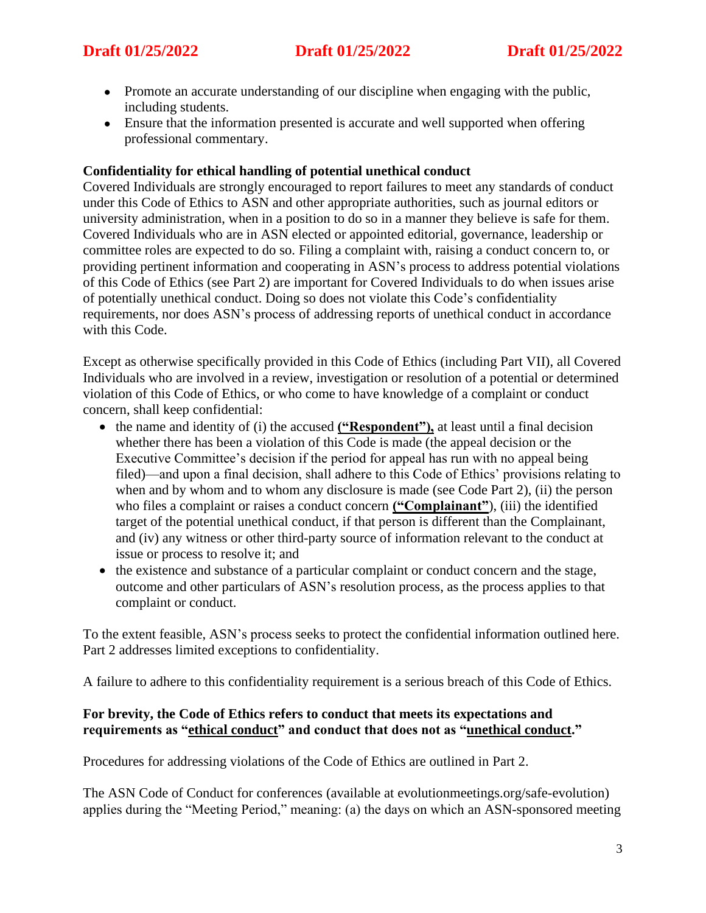- Promote an accurate understanding of our discipline when engaging with the public, including students.
- Ensure that the information presented is accurate and well supported when offering professional commentary.

## **Confidentiality for ethical handling of potential unethical conduct**

Covered Individuals are strongly encouraged to report failures to meet any standards of conduct under this Code of Ethics to ASN and other appropriate authorities, such as journal editors or university administration, when in a position to do so in a manner they believe is safe for them. Covered Individuals who are in ASN elected or appointed editorial, governance, leadership or committee roles are expected to do so. Filing a complaint with, raising a conduct concern to, or providing pertinent information and cooperating in ASN's process to address potential violations of this Code of Ethics (see Part 2) are important for Covered Individuals to do when issues arise of potentially unethical conduct. Doing so does not violate this Code's confidentiality requirements, nor does ASN's process of addressing reports of unethical conduct in accordance with this Code.

Except as otherwise specifically provided in this Code of Ethics (including Part VII), all Covered Individuals who are involved in a review, investigation or resolution of a potential or determined violation of this Code of Ethics, or who come to have knowledge of a complaint or conduct concern, shall keep confidential:

- the name and identity of (i) the accused **("Respondent")**, at least until a final decision whether there has been a violation of this Code is made (the appeal decision or the Executive Committee's decision if the period for appeal has run with no appeal being filed)—and upon a final decision, shall adhere to this Code of Ethics' provisions relating to when and by whom and to whom any disclosure is made (see Code Part 2), (ii) the person who files a complaint or raises a conduct concern **("Complainant"**), (iii) the identified target of the potential unethical conduct, if that person is different than the Complainant, and (iv) any witness or other third-party source of information relevant to the conduct at issue or process to resolve it; and
- the existence and substance of a particular complaint or conduct concern and the stage, outcome and other particulars of ASN's resolution process, as the process applies to that complaint or conduct.

To the extent feasible, ASN's process seeks to protect the confidential information outlined here. Part 2 addresses limited exceptions to confidentiality.

A failure to adhere to this confidentiality requirement is a serious breach of this Code of Ethics.

## **For brevity, the Code of Ethics refers to conduct that meets its expectations and requirements as "ethical conduct" and conduct that does not as "unethical conduct."**

Procedures for addressing violations of the Code of Ethics are outlined in Part 2.

The ASN Code of Conduct for conferences (available at evolutionmeetings.org/safe-evolution) applies during the "Meeting Period," meaning: (a) the days on which an ASN-sponsored meeting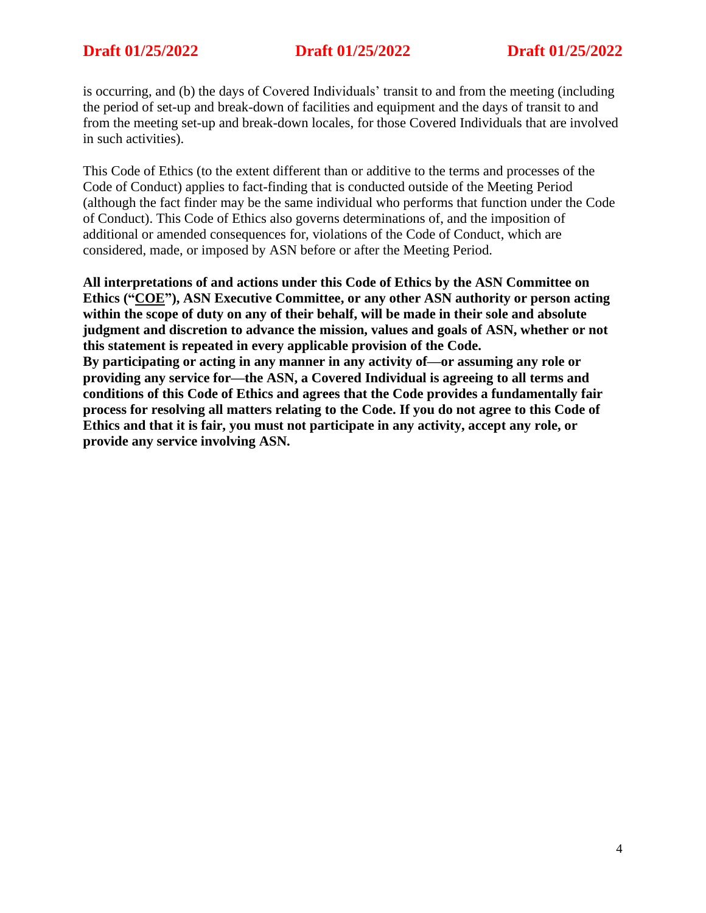is occurring, and (b) the days of Covered Individuals' transit to and from the meeting (including the period of set-up and break-down of facilities and equipment and the days of transit to and from the meeting set-up and break-down locales, for those Covered Individuals that are involved in such activities).

This Code of Ethics (to the extent different than or additive to the terms and processes of the Code of Conduct) applies to fact-finding that is conducted outside of the Meeting Period (although the fact finder may be the same individual who performs that function under the Code of Conduct). This Code of Ethics also governs determinations of, and the imposition of additional or amended consequences for, violations of the Code of Conduct, which are considered, made, or imposed by ASN before or after the Meeting Period.

**All interpretations of and actions under this Code of Ethics by the ASN Committee on Ethics ("COE"), ASN Executive Committee, or any other ASN authority or person acting within the scope of duty on any of their behalf, will be made in their sole and absolute judgment and discretion to advance the mission, values and goals of ASN, whether or not this statement is repeated in every applicable provision of the Code. By participating or acting in any manner in any activity of—or assuming any role or providing any service for—the ASN, a Covered Individual is agreeing to all terms and conditions of this Code of Ethics and agrees that the Code provides a fundamentally fair process for resolving all matters relating to the Code. If you do not agree to this Code of Ethics and that it is fair, you must not participate in any activity, accept any role, or provide any service involving ASN.**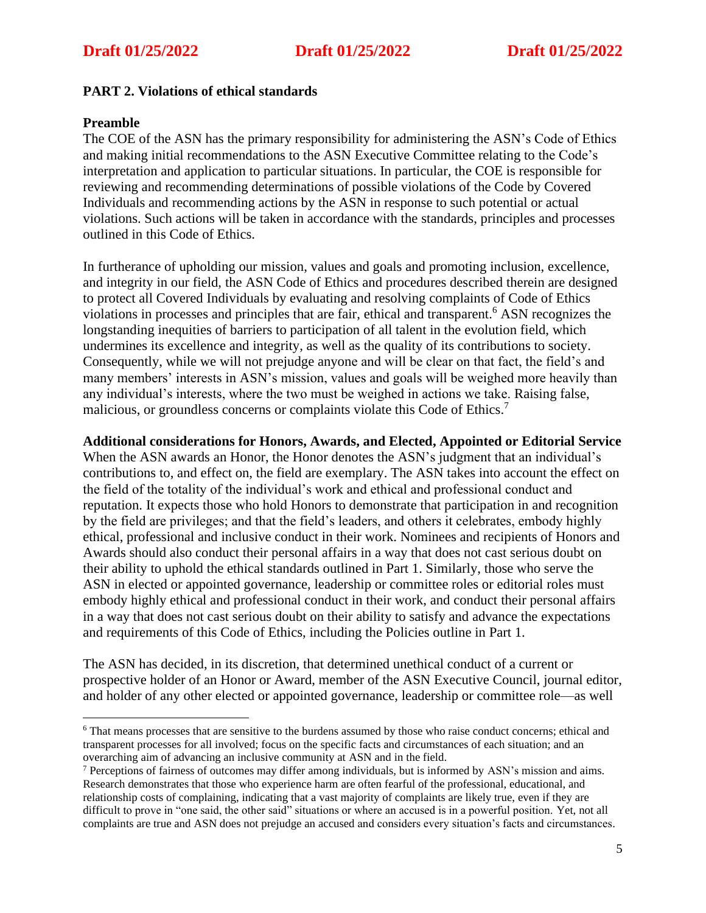## **PART 2. Violations of ethical standards**

### **Preamble**

The COE of the ASN has the primary responsibility for administering the ASN's Code of Ethics and making initial recommendations to the ASN Executive Committee relating to the Code's interpretation and application to particular situations. In particular, the COE is responsible for reviewing and recommending determinations of possible violations of the Code by Covered Individuals and recommending actions by the ASN in response to such potential or actual violations. Such actions will be taken in accordance with the standards, principles and processes outlined in this Code of Ethics.

In furtherance of upholding our mission, values and goals and promoting inclusion, excellence, and integrity in our field, the ASN Code of Ethics and procedures described therein are designed to protect all Covered Individuals by evaluating and resolving complaints of Code of Ethics violations in processes and principles that are fair, ethical and transparent. <sup>6</sup> ASN recognizes the longstanding inequities of barriers to participation of all talent in the evolution field, which undermines its excellence and integrity, as well as the quality of its contributions to society. Consequently, while we will not prejudge anyone and will be clear on that fact, the field's and many members' interests in ASN's mission, values and goals will be weighed more heavily than any individual's interests, where the two must be weighed in actions we take. Raising false, malicious, or groundless concerns or complaints violate this Code of Ethics.<sup>7</sup>

### **Additional considerations for Honors, Awards, and Elected, Appointed or Editorial Service**

When the ASN awards an Honor, the Honor denotes the ASN's judgment that an individual's contributions to, and effect on, the field are exemplary. The ASN takes into account the effect on the field of the totality of the individual's work and ethical and professional conduct and reputation. It expects those who hold Honors to demonstrate that participation in and recognition by the field are privileges; and that the field's leaders, and others it celebrates, embody highly ethical, professional and inclusive conduct in their work. Nominees and recipients of Honors and Awards should also conduct their personal affairs in a way that does not cast serious doubt on their ability to uphold the ethical standards outlined in Part 1. Similarly, those who serve the ASN in elected or appointed governance, leadership or committee roles or editorial roles must embody highly ethical and professional conduct in their work, and conduct their personal affairs in a way that does not cast serious doubt on their ability to satisfy and advance the expectations and requirements of this Code of Ethics, including the Policies outline in Part 1.

The ASN has decided, in its discretion, that determined unethical conduct of a current or prospective holder of an Honor or Award, member of the ASN Executive Council, journal editor, and holder of any other elected or appointed governance, leadership or committee role—as well

<sup>&</sup>lt;sup>6</sup> That means processes that are sensitive to the burdens assumed by those who raise conduct concerns; ethical and transparent processes for all involved; focus on the specific facts and circumstances of each situation; and an overarching aim of advancing an inclusive community at ASN and in the field.

<sup>7</sup> Perceptions of fairness of outcomes may differ among individuals, but is informed by ASN's mission and aims. Research demonstrates that those who experience harm are often fearful of the professional, educational, and relationship costs of complaining, indicating that a vast majority of complaints are likely true, even if they are difficult to prove in "one said, the other said" situations or where an accused is in a powerful position. Yet, not all complaints are true and ASN does not prejudge an accused and considers every situation's facts and circumstances.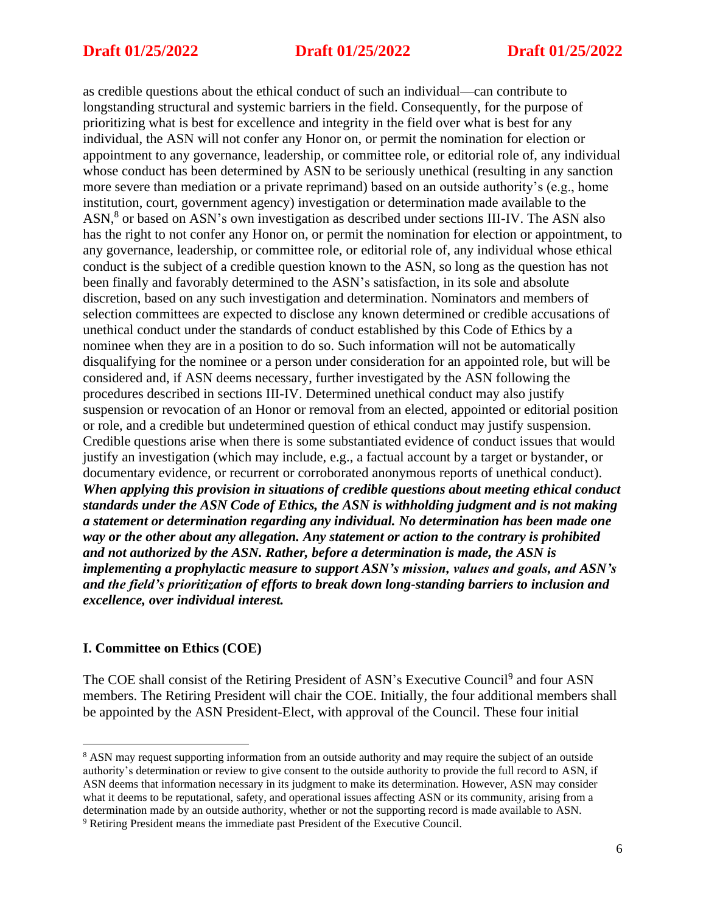as credible questions about the ethical conduct of such an individual—can contribute to longstanding structural and systemic barriers in the field. Consequently, for the purpose of prioritizing what is best for excellence and integrity in the field over what is best for any individual, the ASN will not confer any Honor on, or permit the nomination for election or appointment to any governance, leadership, or committee role, or editorial role of, any individual whose conduct has been determined by ASN to be seriously unethical (resulting in any sanction more severe than mediation or a private reprimand) based on an outside authority's (e.g., home institution, court, government agency) investigation or determination made available to the ASN, 8 or based on ASN's own investigation as described under sections III-IV. The ASN also has the right to not confer any Honor on, or permit the nomination for election or appointment, to any governance, leadership, or committee role, or editorial role of, any individual whose ethical conduct is the subject of a credible question known to the ASN, so long as the question has not been finally and favorably determined to the ASN's satisfaction, in its sole and absolute discretion, based on any such investigation and determination. Nominators and members of selection committees are expected to disclose any known determined or credible accusations of unethical conduct under the standards of conduct established by this Code of Ethics by a nominee when they are in a position to do so. Such information will not be automatically disqualifying for the nominee or a person under consideration for an appointed role, but will be considered and, if ASN deems necessary, further investigated by the ASN following the procedures described in sections III-IV. Determined unethical conduct may also justify suspension or revocation of an Honor or removal from an elected, appointed or editorial position or role, and a credible but undetermined question of ethical conduct may justify suspension. Credible questions arise when there is some substantiated evidence of conduct issues that would justify an investigation (which may include, e.g., a factual account by a target or bystander, or documentary evidence, or recurrent or corroborated anonymous reports of unethical conduct). *When applying this provision in situations of credible questions about meeting ethical conduct standards under the ASN Code of Ethics, the ASN is withholding judgment and is not making a statement or determination regarding any individual. No determination has been made one way or the other about any allegation. Any statement or action to the contrary is prohibited and not authorized by the ASN. Rather, before a determination is made, the ASN is implementing a prophylactic measure to support ASN's mission, values and goals, and ASN's and the field's prioritization of efforts to break down long-standing barriers to inclusion and excellence, over individual interest.*

### **I. Committee on Ethics (COE)**

The COE shall consist of the Retiring President of ASN's Executive Council<sup>9</sup> and four ASN members. The Retiring President will chair the COE. Initially, the four additional members shall be appointed by the ASN President-Elect, with approval of the Council. These four initial

<sup>8</sup> ASN may request supporting information from an outside authority and may require the subject of an outside authority's determination or review to give consent to the outside authority to provide the full record to ASN, if ASN deems that information necessary in its judgment to make its determination. However, ASN may consider what it deems to be reputational, safety, and operational issues affecting ASN or its community, arising from a determination made by an outside authority, whether or not the supporting record is made available to ASN. <sup>9</sup> Retiring President means the immediate past President of the Executive Council.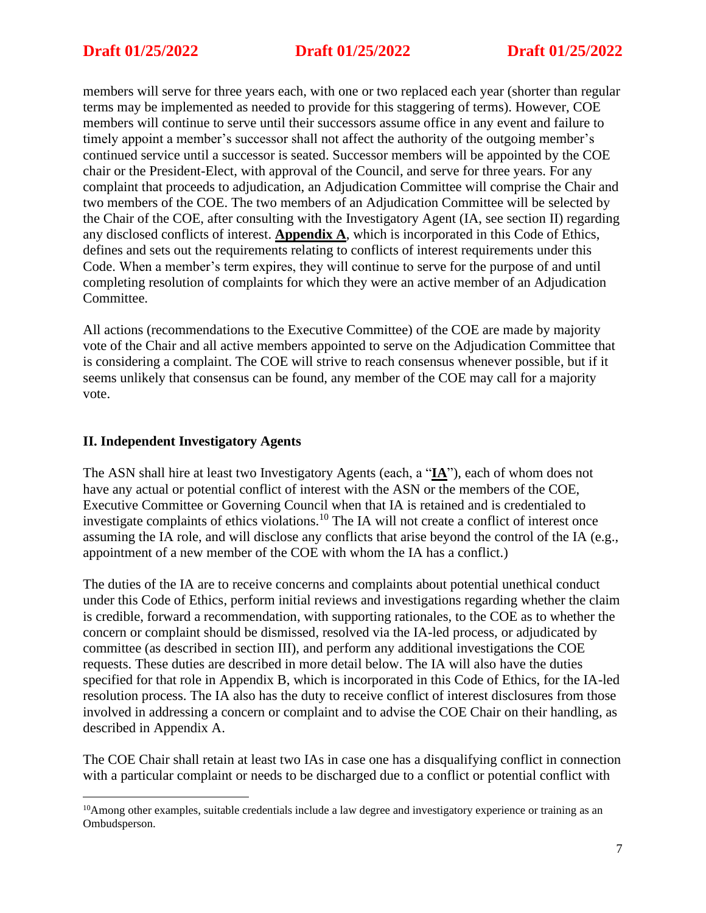members will serve for three years each, with one or two replaced each year (shorter than regular terms may be implemented as needed to provide for this staggering of terms). However, COE members will continue to serve until their successors assume office in any event and failure to timely appoint a member's successor shall not affect the authority of the outgoing member's continued service until a successor is seated. Successor members will be appointed by the COE chair or the President-Elect, with approval of the Council, and serve for three years. For any complaint that proceeds to adjudication, an Adjudication Committee will comprise the Chair and two members of the COE. The two members of an Adjudication Committee will be selected by the Chair of the COE, after consulting with the Investigatory Agent (IA, see section II) regarding any disclosed conflicts of interest. **Appendix A**, which is incorporated in this Code of Ethics, defines and sets out the requirements relating to conflicts of interest requirements under this Code. When a member's term expires, they will continue to serve for the purpose of and until completing resolution of complaints for which they were an active member of an Adjudication Committee.

All actions (recommendations to the Executive Committee) of the COE are made by majority vote of the Chair and all active members appointed to serve on the Adjudication Committee that is considering a complaint. The COE will strive to reach consensus whenever possible, but if it seems unlikely that consensus can be found, any member of the COE may call for a majority vote.

## **II. Independent Investigatory Agents**

The ASN shall hire at least two Investigatory Agents (each, a "**IA**"), each of whom does not have any actual or potential conflict of interest with the ASN or the members of the COE, Executive Committee or Governing Council when that IA is retained and is credentialed to investigate complaints of ethics violations.<sup>10</sup> The IA will not create a conflict of interest once assuming the IA role, and will disclose any conflicts that arise beyond the control of the IA (e.g., appointment of a new member of the COE with whom the IA has a conflict.)

The duties of the IA are to receive concerns and complaints about potential unethical conduct under this Code of Ethics, perform initial reviews and investigations regarding whether the claim is credible, forward a recommendation, with supporting rationales, to the COE as to whether the concern or complaint should be dismissed, resolved via the IA-led process, or adjudicated by committee (as described in section III), and perform any additional investigations the COE requests. These duties are described in more detail below. The IA will also have the duties specified for that role in Appendix B, which is incorporated in this Code of Ethics, for the IA-led resolution process. The IA also has the duty to receive conflict of interest disclosures from those involved in addressing a concern or complaint and to advise the COE Chair on their handling, as described in Appendix A.

The COE Chair shall retain at least two IAs in case one has a disqualifying conflict in connection with a particular complaint or needs to be discharged due to a conflict or potential conflict with

<sup>&</sup>lt;sup>10</sup>Among other examples, suitable credentials include a law degree and investigatory experience or training as an Ombudsperson.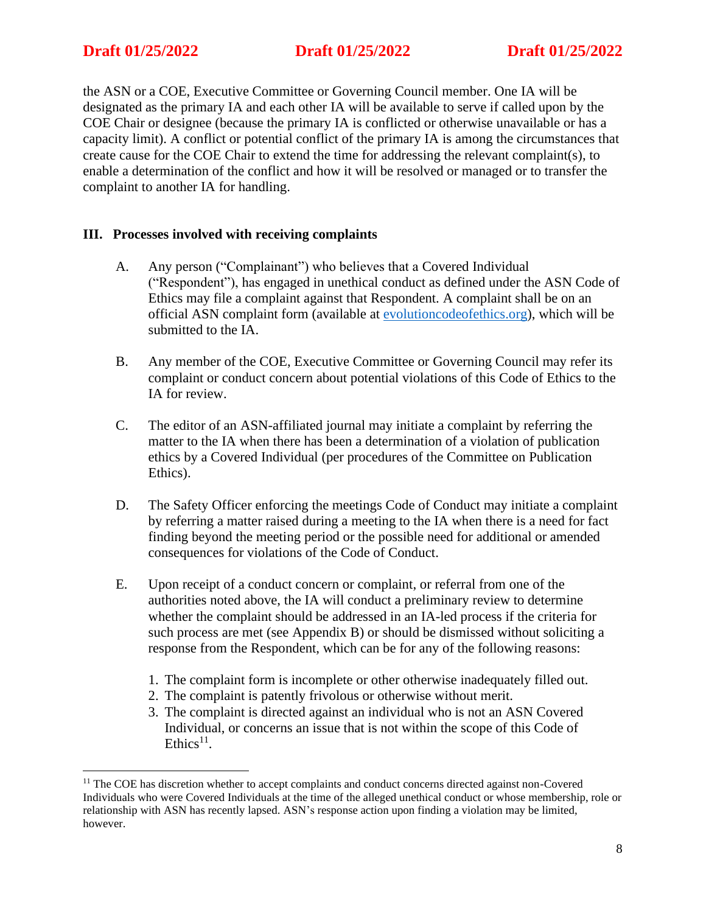## **Draft 01/25/2022 Draft 01/25/2022 Draft 01/25/2022**

the ASN or a COE, Executive Committee or Governing Council member. One IA will be designated as the primary IA and each other IA will be available to serve if called upon by the COE Chair or designee (because the primary IA is conflicted or otherwise unavailable or has a capacity limit). A conflict or potential conflict of the primary IA is among the circumstances that create cause for the COE Chair to extend the time for addressing the relevant complaint(s), to enable a determination of the conflict and how it will be resolved or managed or to transfer the complaint to another IA for handling.

### **III. Processes involved with receiving complaints**

- A. Any person ("Complainant") who believes that a Covered Individual ("Respondent"), has engaged in unethical conduct as defined under the ASN Code of Ethics may file a complaint against that Respondent. A complaint shall be on an official ASN complaint form (available at [evolutioncodeofethics.org\)](http://evolutioncodeofethics.org/), which will be submitted to the IA.
- B. Any member of the COE, Executive Committee or Governing Council may refer its complaint or conduct concern about potential violations of this Code of Ethics to the IA for review.
- C. The editor of an ASN-affiliated journal may initiate a complaint by referring the matter to the IA when there has been a determination of a violation of publication ethics by a Covered Individual (per procedures of the Committee on Publication Ethics).
- D. The Safety Officer enforcing the meetings Code of Conduct may initiate a complaint by referring a matter raised during a meeting to the IA when there is a need for fact finding beyond the meeting period or the possible need for additional or amended consequences for violations of the Code of Conduct.
- E. Upon receipt of a conduct concern or complaint, or referral from one of the authorities noted above, the IA will conduct a preliminary review to determine whether the complaint should be addressed in an IA-led process if the criteria for such process are met (see Appendix B) or should be dismissed without soliciting a response from the Respondent, which can be for any of the following reasons:
	- 1. The complaint form is incomplete or other otherwise inadequately filled out.
	- 2. The complaint is patently frivolous or otherwise without merit.
	- 3. The complaint is directed against an individual who is not an ASN Covered Individual, or concerns an issue that is not within the scope of this Code of Ethics $^{11}$ .

<sup>&</sup>lt;sup>11</sup> The COE has discretion whether to accept complaints and conduct concerns directed against non-Covered Individuals who were Covered Individuals at the time of the alleged unethical conduct or whose membership, role or relationship with ASN has recently lapsed. ASN's response action upon finding a violation may be limited, however.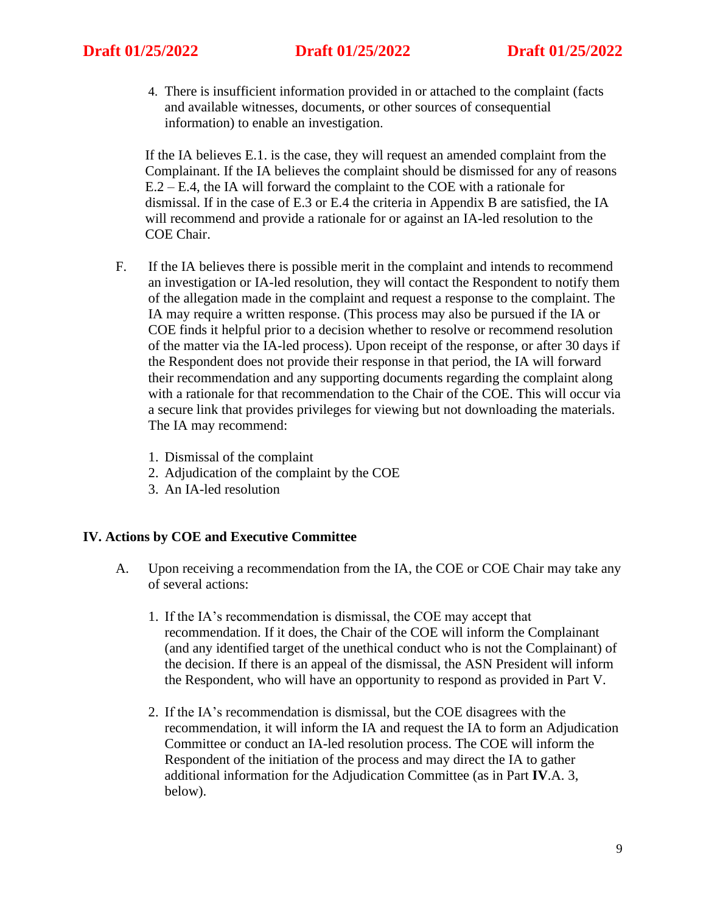4. There is insufficient information provided in or attached to the complaint (facts and available witnesses, documents, or other sources of consequential information) to enable an investigation.

If the IA believes E.1. is the case, they will request an amended complaint from the Complainant. If the IA believes the complaint should be dismissed for any of reasons E.2 – E.4, the IA will forward the complaint to the COE with a rationale for dismissal. If in the case of E.3 or E.4 the criteria in Appendix B are satisfied, the IA will recommend and provide a rationale for or against an IA-led resolution to the COE Chair.

- F. If the IA believes there is possible merit in the complaint and intends to recommend an investigation or IA-led resolution, they will contact the Respondent to notify them of the allegation made in the complaint and request a response to the complaint. The IA may require a written response. (This process may also be pursued if the IA or COE finds it helpful prior to a decision whether to resolve or recommend resolution of the matter via the IA-led process). Upon receipt of the response, or after 30 days if the Respondent does not provide their response in that period, the IA will forward their recommendation and any supporting documents regarding the complaint along with a rationale for that recommendation to the Chair of the COE. This will occur via a secure link that provides privileges for viewing but not downloading the materials. The IA may recommend:
	- 1. Dismissal of the complaint
	- 2. Adjudication of the complaint by the COE
	- 3. An IA-led resolution

### **IV. Actions by COE and Executive Committee**

- A. Upon receiving a recommendation from the IA, the COE or COE Chair may take any of several actions:
	- 1. If the IA's recommendation is dismissal, the COE may accept that recommendation. If it does, the Chair of the COE will inform the Complainant (and any identified target of the unethical conduct who is not the Complainant) of the decision. If there is an appeal of the dismissal, the ASN President will inform the Respondent, who will have an opportunity to respond as provided in Part V.
	- 2. If the IA's recommendation is dismissal, but the COE disagrees with the recommendation, it will inform the IA and request the IA to form an Adjudication Committee or conduct an IA-led resolution process. The COE will inform the Respondent of the initiation of the process and may direct the IA to gather additional information for the Adjudication Committee (as in Part **IV**.A. 3, below).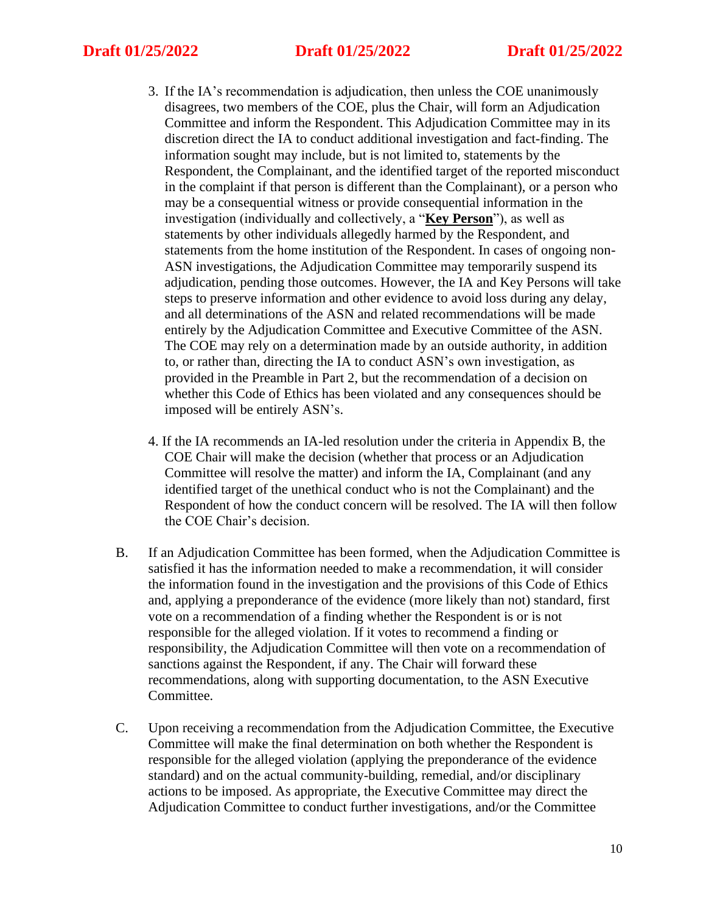## **Draft 01/25/2022 Draft 01/25/2022 Draft 01/25/2022**

- 3. If the IA's recommendation is adjudication, then unless the COE unanimously disagrees, two members of the COE, plus the Chair, will form an Adjudication Committee and inform the Respondent. This Adjudication Committee may in its discretion direct the IA to conduct additional investigation and fact-finding. The information sought may include, but is not limited to, statements by the Respondent, the Complainant, and the identified target of the reported misconduct in the complaint if that person is different than the Complainant), or a person who may be a consequential witness or provide consequential information in the investigation (individually and collectively, a "**Key Person**"), as well as statements by other individuals allegedly harmed by the Respondent, and statements from the home institution of the Respondent. In cases of ongoing non-ASN investigations, the Adjudication Committee may temporarily suspend its adjudication, pending those outcomes. However, the IA and Key Persons will take steps to preserve information and other evidence to avoid loss during any delay, and all determinations of the ASN and related recommendations will be made entirely by the Adjudication Committee and Executive Committee of the ASN. The COE may rely on a determination made by an outside authority, in addition to, or rather than, directing the IA to conduct ASN's own investigation, as provided in the Preamble in Part 2, but the recommendation of a decision on whether this Code of Ethics has been violated and any consequences should be imposed will be entirely ASN's.
- 4. If the IA recommends an IA-led resolution under the criteria in Appendix B, the COE Chair will make the decision (whether that process or an Adjudication Committee will resolve the matter) and inform the IA, Complainant (and any identified target of the unethical conduct who is not the Complainant) and the Respondent of how the conduct concern will be resolved. The IA will then follow the COE Chair's decision.
- B. If an Adjudication Committee has been formed, when the Adjudication Committee is satisfied it has the information needed to make a recommendation, it will consider the information found in the investigation and the provisions of this Code of Ethics and, applying a preponderance of the evidence (more likely than not) standard, first vote on a recommendation of a finding whether the Respondent is or is not responsible for the alleged violation. If it votes to recommend a finding or responsibility, the Adjudication Committee will then vote on a recommendation of sanctions against the Respondent, if any. The Chair will forward these recommendations, along with supporting documentation, to the ASN Executive Committee.
- C. Upon receiving a recommendation from the Adjudication Committee, the Executive Committee will make the final determination on both whether the Respondent is responsible for the alleged violation (applying the preponderance of the evidence standard) and on the actual community-building, remedial, and/or disciplinary actions to be imposed. As appropriate, the Executive Committee may direct the Adjudication Committee to conduct further investigations, and/or the Committee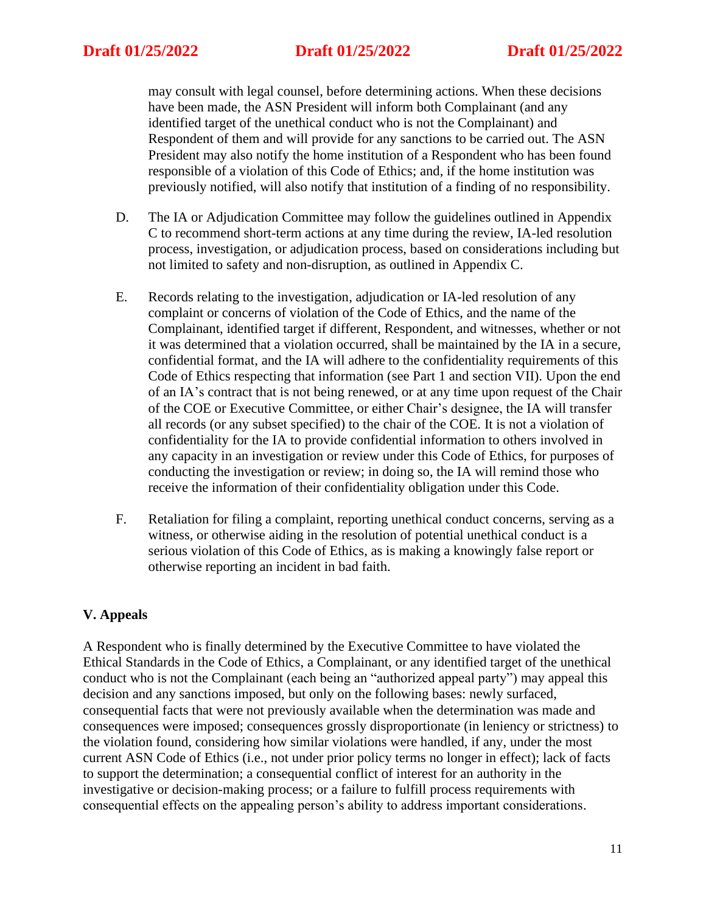may consult with legal counsel, before determining actions. When these decisions have been made, the ASN President will inform both Complainant (and any identified target of the unethical conduct who is not the Complainant) and Respondent of them and will provide for any sanctions to be carried out. The ASN President may also notify the home institution of a Respondent who has been found responsible of a violation of this Code of Ethics; and, if the home institution was previously notified, will also notify that institution of a finding of no responsibility.

- D. The IA or Adjudication Committee may follow the guidelines outlined in Appendix C to recommend short-term actions at any time during the review, IA-led resolution process, investigation, or adjudication process, based on considerations including but not limited to safety and non-disruption, as outlined in Appendix C.
- E. Records relating to the investigation, adjudication or IA-led resolution of any complaint or concerns of violation of the Code of Ethics, and the name of the Complainant, identified target if different, Respondent, and witnesses, whether or not it was determined that a violation occurred, shall be maintained by the IA in a secure, confidential format, and the IA will adhere to the confidentiality requirements of this Code of Ethics respecting that information (see Part 1 and section VII). Upon the end of an IA's contract that is not being renewed, or at any time upon request of the Chair of the COE or Executive Committee, or either Chair's designee, the IA will transfer all records (or any subset specified) to the chair of the COE. It is not a violation of confidentiality for the IA to provide confidential information to others involved in any capacity in an investigation or review under this Code of Ethics, for purposes of conducting the investigation or review; in doing so, the IA will remind those who receive the information of their confidentiality obligation under this Code.
- F. Retaliation for filing a complaint, reporting unethical conduct concerns, serving as a witness, or otherwise aiding in the resolution of potential unethical conduct is a serious violation of this Code of Ethics, as is making a knowingly false report or otherwise reporting an incident in bad faith.

## **V. Appeals**

A Respondent who is finally determined by the Executive Committee to have violated the Ethical Standards in the Code of Ethics, a Complainant, or any identified target of the unethical conduct who is not the Complainant (each being an "authorized appeal party") may appeal this decision and any sanctions imposed, but only on the following bases: newly surfaced, consequential facts that were not previously available when the determination was made and consequences were imposed; consequences grossly disproportionate (in leniency or strictness) to the violation found, considering how similar violations were handled, if any, under the most current ASN Code of Ethics (i.e., not under prior policy terms no longer in effect); lack of facts to support the determination; a consequential conflict of interest for an authority in the investigative or decision-making process; or a failure to fulfill process requirements with consequential effects on the appealing person's ability to address important considerations.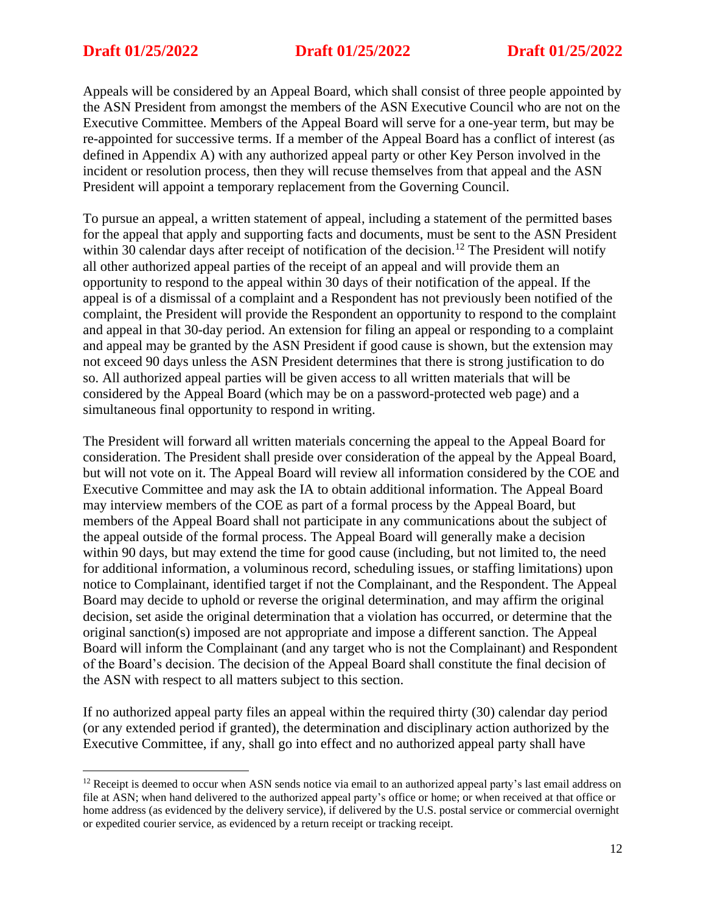Appeals will be considered by an Appeal Board, which shall consist of three people appointed by the ASN President from amongst the members of the ASN Executive Council who are not on the Executive Committee. Members of the Appeal Board will serve for a one-year term, but may be re-appointed for successive terms. If a member of the Appeal Board has a conflict of interest (as defined in Appendix A) with any authorized appeal party or other Key Person involved in the incident or resolution process, then they will recuse themselves from that appeal and the ASN President will appoint a temporary replacement from the Governing Council.

To pursue an appeal, a written statement of appeal, including a statement of the permitted bases for the appeal that apply and supporting facts and documents, must be sent to the ASN President within 30 calendar days after receipt of notification of the decision.<sup>12</sup> The President will notify all other authorized appeal parties of the receipt of an appeal and will provide them an opportunity to respond to the appeal within 30 days of their notification of the appeal. If the appeal is of a dismissal of a complaint and a Respondent has not previously been notified of the complaint, the President will provide the Respondent an opportunity to respond to the complaint and appeal in that 30-day period. An extension for filing an appeal or responding to a complaint and appeal may be granted by the ASN President if good cause is shown, but the extension may not exceed 90 days unless the ASN President determines that there is strong justification to do so. All authorized appeal parties will be given access to all written materials that will be considered by the Appeal Board (which may be on a password-protected web page) and a simultaneous final opportunity to respond in writing.

The President will forward all written materials concerning the appeal to the Appeal Board for consideration. The President shall preside over consideration of the appeal by the Appeal Board, but will not vote on it. The Appeal Board will review all information considered by the COE and Executive Committee and may ask the IA to obtain additional information. The Appeal Board may interview members of the COE as part of a formal process by the Appeal Board, but members of the Appeal Board shall not participate in any communications about the subject of the appeal outside of the formal process. The Appeal Board will generally make a decision within 90 days, but may extend the time for good cause (including, but not limited to, the need for additional information, a voluminous record, scheduling issues, or staffing limitations) upon notice to Complainant, identified target if not the Complainant, and the Respondent. The Appeal Board may decide to uphold or reverse the original determination, and may affirm the original decision, set aside the original determination that a violation has occurred, or determine that the original sanction(s) imposed are not appropriate and impose a different sanction. The Appeal Board will inform the Complainant (and any target who is not the Complainant) and Respondent of the Board's decision. The decision of the Appeal Board shall constitute the final decision of the ASN with respect to all matters subject to this section.

If no authorized appeal party files an appeal within the required thirty (30) calendar day period (or any extended period if granted), the determination and disciplinary action authorized by the Executive Committee, if any, shall go into effect and no authorized appeal party shall have

 $12$  Receipt is deemed to occur when ASN sends notice via email to an authorized appeal party's last email address on file at ASN; when hand delivered to the authorized appeal party's office or home; or when received at that office or home address (as evidenced by the delivery service), if delivered by the U.S. postal service or commercial overnight or expedited courier service, as evidenced by a return receipt or tracking receipt.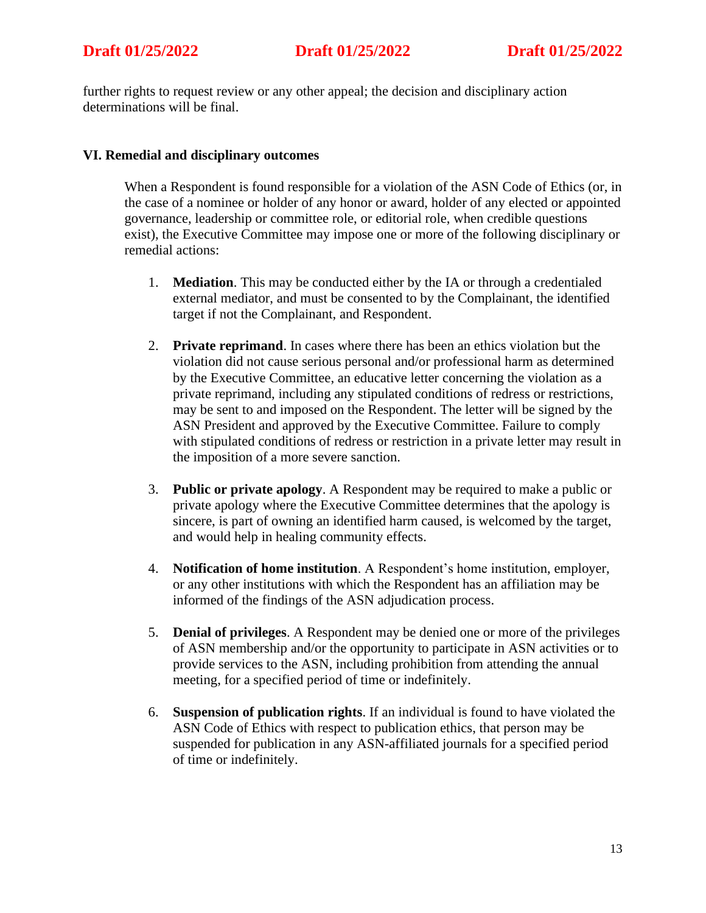further rights to request review or any other appeal; the decision and disciplinary action determinations will be final.

## **VI. Remedial and disciplinary outcomes**

When a Respondent is found responsible for a violation of the ASN Code of Ethics (or, in the case of a nominee or holder of any honor or award, holder of any elected or appointed governance, leadership or committee role, or editorial role, when credible questions exist), the Executive Committee may impose one or more of the following disciplinary or remedial actions:

- 1. **Mediation**. This may be conducted either by the IA or through a credentialed external mediator, and must be consented to by the Complainant, the identified target if not the Complainant, and Respondent.
- 2. **Private reprimand**. In cases where there has been an ethics violation but the violation did not cause serious personal and/or professional harm as determined by the Executive Committee, an educative letter concerning the violation as a private reprimand, including any stipulated conditions of redress or restrictions, may be sent to and imposed on the Respondent. The letter will be signed by the ASN President and approved by the Executive Committee. Failure to comply with stipulated conditions of redress or restriction in a private letter may result in the imposition of a more severe sanction.
- 3. **Public or private apology**. A Respondent may be required to make a public or private apology where the Executive Committee determines that the apology is sincere, is part of owning an identified harm caused, is welcomed by the target, and would help in healing community effects.
- 4. **Notification of home institution**. A Respondent's home institution, employer, or any other institutions with which the Respondent has an affiliation may be informed of the findings of the ASN adjudication process.
- 5. **Denial of privileges**. A Respondent may be denied one or more of the privileges of ASN membership and/or the opportunity to participate in ASN activities or to provide services to the ASN, including prohibition from attending the annual meeting, for a specified period of time or indefinitely.
- 6. **Suspension of publication rights**. If an individual is found to have violated the ASN Code of Ethics with respect to publication ethics, that person may be suspended for publication in any ASN-affiliated journals for a specified period of time or indefinitely.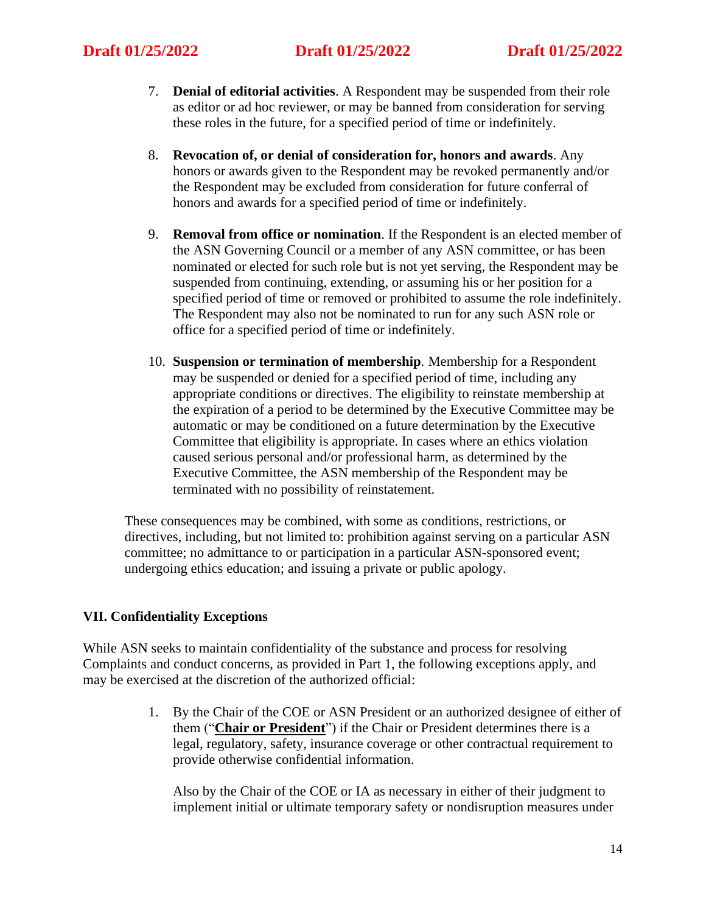- 7. **Denial of editorial activities**. A Respondent may be suspended from their role as editor or ad hoc reviewer, or may be banned from consideration for serving these roles in the future, for a specified period of time or indefinitely.
- 8. **Revocation of, or denial of consideration for, honors and awards**. Any honors or awards given to the Respondent may be revoked permanently and/or the Respondent may be excluded from consideration for future conferral of honors and awards for a specified period of time or indefinitely.
- 9. **Removal from office or nomination**. If the Respondent is an elected member of the ASN Governing Council or a member of any ASN committee, or has been nominated or elected for such role but is not yet serving, the Respondent may be suspended from continuing, extending, or assuming his or her position for a specified period of time or removed or prohibited to assume the role indefinitely. The Respondent may also not be nominated to run for any such ASN role or office for a specified period of time or indefinitely.
- 10. **Suspension or termination of membership***.* Membership for a Respondent may be suspended or denied for a specified period of time, including any appropriate conditions or directives. The eligibility to reinstate membership at the expiration of a period to be determined by the Executive Committee may be automatic or may be conditioned on a future determination by the Executive Committee that eligibility is appropriate. In cases where an ethics violation caused serious personal and/or professional harm, as determined by the Executive Committee, the ASN membership of the Respondent may be terminated with no possibility of reinstatement.

These consequences may be combined, with some as conditions, restrictions, or directives, including, but not limited to: prohibition against serving on a particular ASN committee; no admittance to or participation in a particular ASN-sponsored event; undergoing ethics education; and issuing a private or public apology.

## **VII. Confidentiality Exceptions**

While ASN seeks to maintain confidentiality of the substance and process for resolving Complaints and conduct concerns, as provided in Part 1, the following exceptions apply, and may be exercised at the discretion of the authorized official:

> 1. By the Chair of the COE or ASN President or an authorized designee of either of them ("**Chair or President**") if the Chair or President determines there is a legal, regulatory, safety, insurance coverage or other contractual requirement to provide otherwise confidential information.

Also by the Chair of the COE or IA as necessary in either of their judgment to implement initial or ultimate temporary safety or nondisruption measures under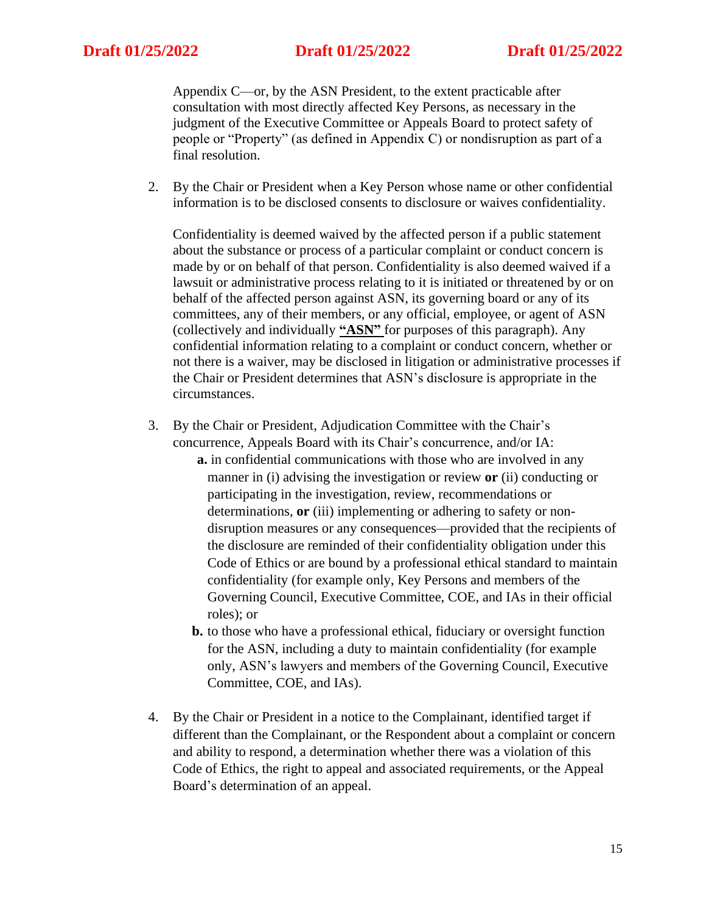Appendix C—or, by the ASN President, to the extent practicable after consultation with most directly affected Key Persons, as necessary in the judgment of the Executive Committee or Appeals Board to protect safety of people or "Property" (as defined in Appendix C) or nondisruption as part of a final resolution.

2. By the Chair or President when a Key Person whose name or other confidential information is to be disclosed consents to disclosure or waives confidentiality.

Confidentiality is deemed waived by the affected person if a public statement about the substance or process of a particular complaint or conduct concern is made by or on behalf of that person. Confidentiality is also deemed waived if a lawsuit or administrative process relating to it is initiated or threatened by or on behalf of the affected person against ASN, its governing board or any of its committees, any of their members, or any official, employee, or agent of ASN (collectively and individually **"ASN"** for purposes of this paragraph). Any confidential information relating to a complaint or conduct concern, whether or not there is a waiver, may be disclosed in litigation or administrative processes if the Chair or President determines that ASN's disclosure is appropriate in the circumstances.

- 3. By the Chair or President, Adjudication Committee with the Chair's concurrence, Appeals Board with its Chair's concurrence, and/or IA: **a.** in confidential communications with those who are involved in any manner in (i) advising the investigation or review **or** (ii) conducting or participating in the investigation, review, recommendations or determinations, **or** (iii) implementing or adhering to safety or nondisruption measures or any consequences—provided that the recipients of the disclosure are reminded of their confidentiality obligation under this Code of Ethics or are bound by a professional ethical standard to maintain confidentiality (for example only, Key Persons and members of the Governing Council, Executive Committee, COE, and IAs in their official roles); or
	- **b.** to those who have a professional ethical, fiduciary or oversight function for the ASN, including a duty to maintain confidentiality (for example only, ASN's lawyers and members of the Governing Council, Executive Committee, COE, and IAs).
- 4. By the Chair or President in a notice to the Complainant, identified target if different than the Complainant, or the Respondent about a complaint or concern and ability to respond, a determination whether there was a violation of this Code of Ethics, the right to appeal and associated requirements, or the Appeal Board's determination of an appeal.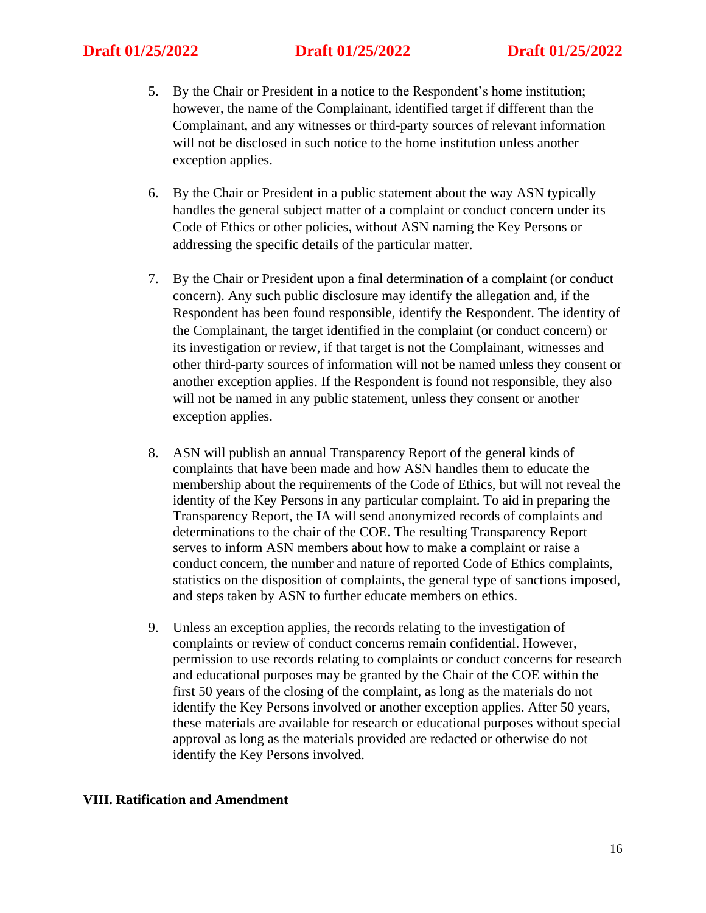- 5. By the Chair or President in a notice to the Respondent's home institution; however, the name of the Complainant, identified target if different than the Complainant, and any witnesses or third-party sources of relevant information will not be disclosed in such notice to the home institution unless another exception applies.
- 6. By the Chair or President in a public statement about the way ASN typically handles the general subject matter of a complaint or conduct concern under its Code of Ethics or other policies, without ASN naming the Key Persons or addressing the specific details of the particular matter.
- 7. By the Chair or President upon a final determination of a complaint (or conduct concern). Any such public disclosure may identify the allegation and, if the Respondent has been found responsible, identify the Respondent. The identity of the Complainant, the target identified in the complaint (or conduct concern) or its investigation or review, if that target is not the Complainant, witnesses and other third-party sources of information will not be named unless they consent or another exception applies. If the Respondent is found not responsible, they also will not be named in any public statement, unless they consent or another exception applies.
- 8. ASN will publish an annual Transparency Report of the general kinds of complaints that have been made and how ASN handles them to educate the membership about the requirements of the Code of Ethics, but will not reveal the identity of the Key Persons in any particular complaint. To aid in preparing the Transparency Report, the IA will send anonymized records of complaints and determinations to the chair of the COE. The resulting Transparency Report serves to inform ASN members about how to make a complaint or raise a conduct concern, the number and nature of reported Code of Ethics complaints, statistics on the disposition of complaints, the general type of sanctions imposed, and steps taken by ASN to further educate members on ethics.
- 9. Unless an exception applies, the records relating to the investigation of complaints or review of conduct concerns remain confidential. However, permission to use records relating to complaints or conduct concerns for research and educational purposes may be granted by the Chair of the COE within the first 50 years of the closing of the complaint, as long as the materials do not identify the Key Persons involved or another exception applies. After 50 years, these materials are available for research or educational purposes without special approval as long as the materials provided are redacted or otherwise do not identify the Key Persons involved.

### **VIII. Ratification and Amendment**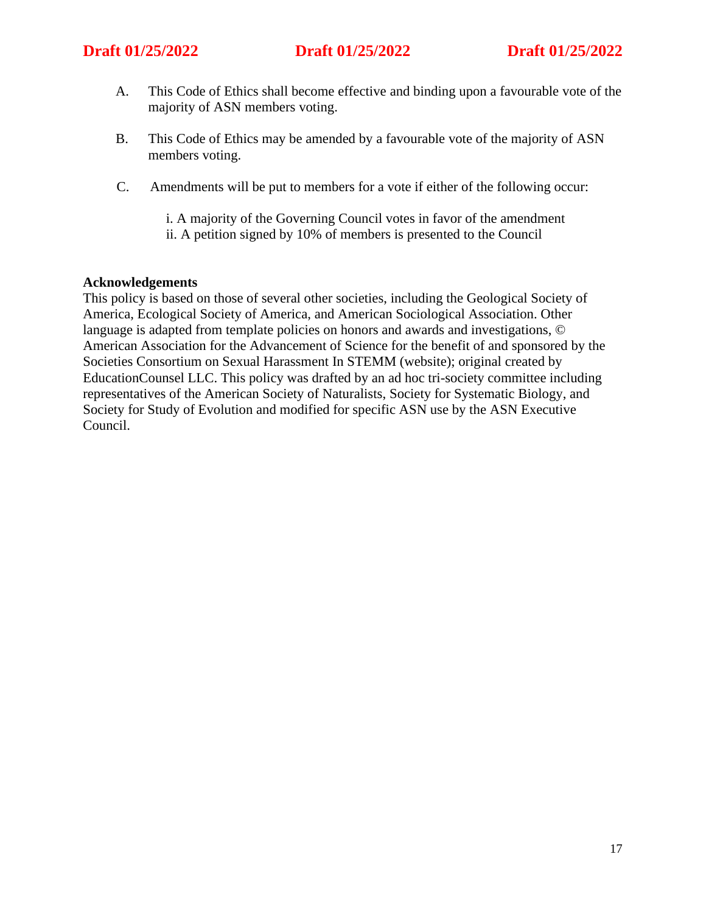- A. This Code of Ethics shall become effective and binding upon a favourable vote of the majority of ASN members voting.
- B. This Code of Ethics may be amended by a favourable vote of the majority of ASN members voting.
- C. Amendments will be put to members for a vote if either of the following occur:
	- i. A majority of the Governing Council votes in favor of the amendment
	- ii. A petition signed by 10% of members is presented to the Council

### **Acknowledgements**

This policy is based on those of several other societies, including the Geological Society of America, Ecological Society of America, and American Sociological Association. Other language is adapted from template policies on honors and awards and investigations, © American Association for the Advancement of Science for the benefit of and sponsored by the Societies Consortium on Sexual Harassment In STEMM (website); original created by EducationCounsel LLC. This policy was drafted by an ad hoc tri-society committee including representatives of the American Society of Naturalists, Society for Systematic Biology, and Society for Study of Evolution and modified for specific ASN use by the ASN Executive Council.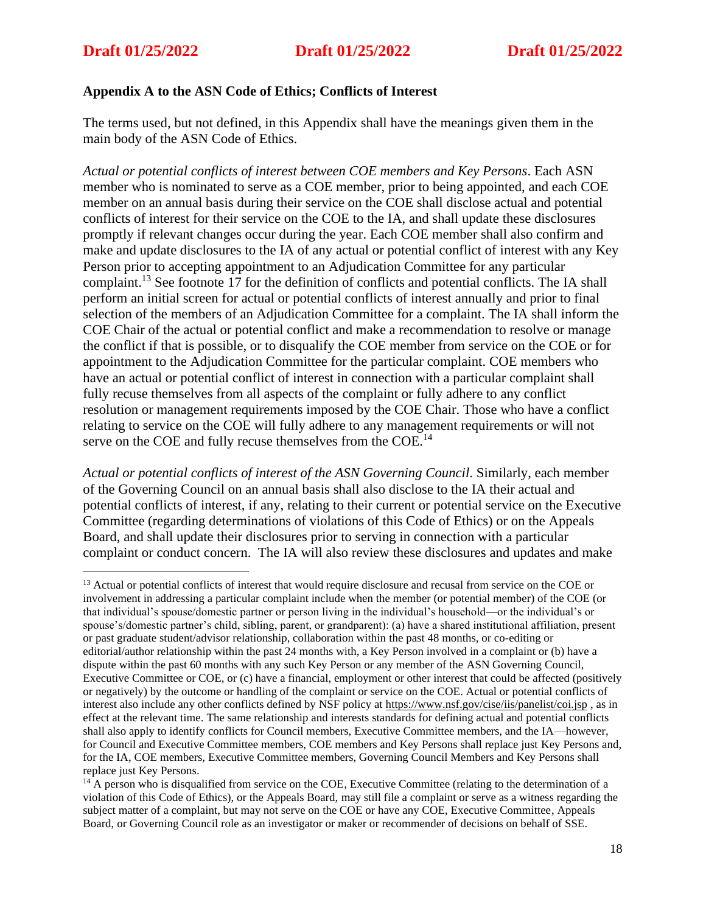## **Appendix A to the ASN Code of Ethics; Conflicts of Interest**

The terms used, but not defined, in this Appendix shall have the meanings given them in the main body of the ASN Code of Ethics.

*Actual or potential conflicts of interest between COE members and Key Persons*. Each ASN member who is nominated to serve as a COE member, prior to being appointed, and each COE member on an annual basis during their service on the COE shall disclose actual and potential conflicts of interest for their service on the COE to the IA, and shall update these disclosures promptly if relevant changes occur during the year. Each COE member shall also confirm and make and update disclosures to the IA of any actual or potential conflict of interest with any Key Person prior to accepting appointment to an Adjudication Committee for any particular complaint.<sup>13</sup> See footnote 17 for the definition of conflicts and potential conflicts. The IA shall perform an initial screen for actual or potential conflicts of interest annually and prior to final selection of the members of an Adjudication Committee for a complaint. The IA shall inform the COE Chair of the actual or potential conflict and make a recommendation to resolve or manage the conflict if that is possible, or to disqualify the COE member from service on the COE or for appointment to the Adjudication Committee for the particular complaint. COE members who have an actual or potential conflict of interest in connection with a particular complaint shall fully recuse themselves from all aspects of the complaint or fully adhere to any conflict resolution or management requirements imposed by the COE Chair. Those who have a conflict relating to service on the COE will fully adhere to any management requirements or will not serve on the COE and fully recuse themselves from the COE.<sup>14</sup>

*Actual or potential conflicts of interest of the ASN Governing Council*. Similarly, each member of the Governing Council on an annual basis shall also disclose to the IA their actual and potential conflicts of interest, if any, relating to their current or potential service on the Executive Committee (regarding determinations of violations of this Code of Ethics) or on the Appeals Board, and shall update their disclosures prior to serving in connection with a particular complaint or conduct concern. The IA will also review these disclosures and updates and make

<sup>&</sup>lt;sup>13</sup> Actual or potential conflicts of interest that would require disclosure and recusal from service on the COE or involvement in addressing a particular complaint include when the member (or potential member) of the COE (or that individual's spouse/domestic partner or person living in the individual's household—or the individual's or spouse's/domestic partner's child, sibling, parent, or grandparent): (a) have a shared institutional affiliation, present or past graduate student/advisor relationship, collaboration within the past 48 months, or co-editing or editorial/author relationship within the past 24 months with, a Key Person involved in a complaint or (b) have a dispute within the past 60 months with any such Key Person or any member of the ASN Governing Council, Executive Committee or COE, or (c) have a financial, employment or other interest that could be affected (positively or negatively) by the outcome or handling of the complaint or service on the COE. Actual or potential conflicts of interest also include any other conflicts defined by NSF policy at<https://www.nsf.gov/cise/iis/panelist/coi.jsp> , as in effect at the relevant time. The same relationship and interests standards for defining actual and potential conflicts shall also apply to identify conflicts for Council members, Executive Committee members, and the IA—however, for Council and Executive Committee members, COE members and Key Persons shall replace just Key Persons and, for the IA, COE members, Executive Committee members, Governing Council Members and Key Persons shall replace just Key Persons.

 $14$  A person who is disqualified from service on the COE, Executive Committee (relating to the determination of a violation of this Code of Ethics), or the Appeals Board, may still file a complaint or serve as a witness regarding the subject matter of a complaint, but may not serve on the COE or have any COE, Executive Committee, Appeals Board, or Governing Council role as an investigator or maker or recommender of decisions on behalf of SSE.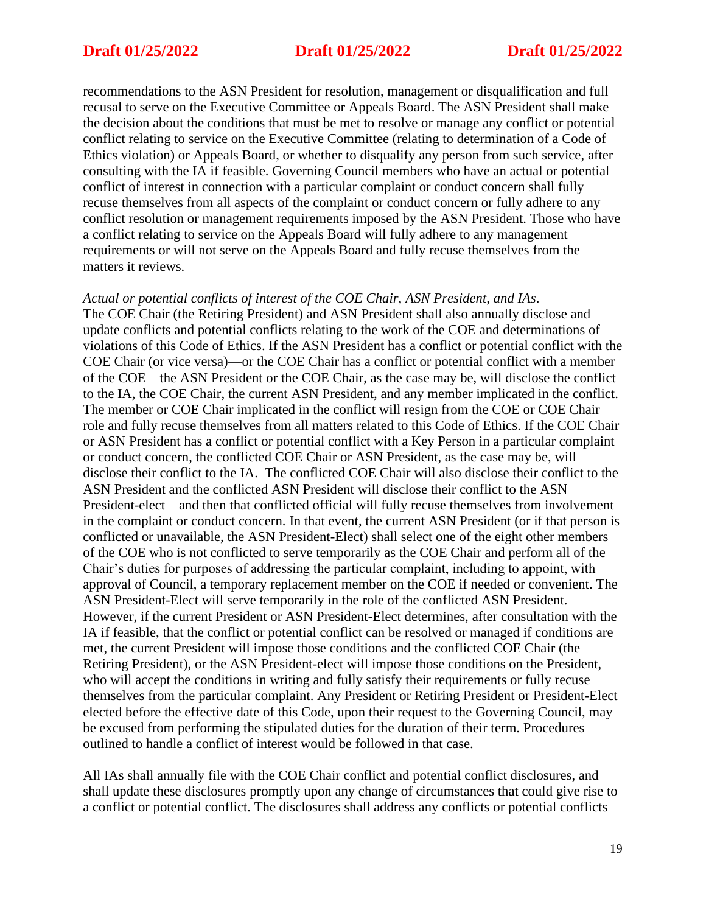recommendations to the ASN President for resolution, management or disqualification and full recusal to serve on the Executive Committee or Appeals Board. The ASN President shall make the decision about the conditions that must be met to resolve or manage any conflict or potential conflict relating to service on the Executive Committee (relating to determination of a Code of Ethics violation) or Appeals Board, or whether to disqualify any person from such service, after consulting with the IA if feasible. Governing Council members who have an actual or potential conflict of interest in connection with a particular complaint or conduct concern shall fully recuse themselves from all aspects of the complaint or conduct concern or fully adhere to any conflict resolution or management requirements imposed by the ASN President. Those who have a conflict relating to service on the Appeals Board will fully adhere to any management requirements or will not serve on the Appeals Board and fully recuse themselves from the matters it reviews.

### *Actual or potential conflicts of interest of the COE Chair, ASN President, and IAs*.

The COE Chair (the Retiring President) and ASN President shall also annually disclose and update conflicts and potential conflicts relating to the work of the COE and determinations of violations of this Code of Ethics. If the ASN President has a conflict or potential conflict with the COE Chair (or vice versa)—or the COE Chair has a conflict or potential conflict with a member of the COE—the ASN President or the COE Chair, as the case may be, will disclose the conflict to the IA, the COE Chair, the current ASN President, and any member implicated in the conflict. The member or COE Chair implicated in the conflict will resign from the COE or COE Chair role and fully recuse themselves from all matters related to this Code of Ethics. If the COE Chair or ASN President has a conflict or potential conflict with a Key Person in a particular complaint or conduct concern, the conflicted COE Chair or ASN President, as the case may be, will disclose their conflict to the IA. The conflicted COE Chair will also disclose their conflict to the ASN President and the conflicted ASN President will disclose their conflict to the ASN President-elect—and then that conflicted official will fully recuse themselves from involvement in the complaint or conduct concern. In that event, the current ASN President (or if that person is conflicted or unavailable, the ASN President-Elect) shall select one of the eight other members of the COE who is not conflicted to serve temporarily as the COE Chair and perform all of the Chair's duties for purposes of addressing the particular complaint, including to appoint, with approval of Council, a temporary replacement member on the COE if needed or convenient. The ASN President-Elect will serve temporarily in the role of the conflicted ASN President. However, if the current President or ASN President-Elect determines, after consultation with the IA if feasible, that the conflict or potential conflict can be resolved or managed if conditions are met, the current President will impose those conditions and the conflicted COE Chair (the Retiring President), or the ASN President-elect will impose those conditions on the President, who will accept the conditions in writing and fully satisfy their requirements or fully recuse themselves from the particular complaint. Any President or Retiring President or President-Elect elected before the effective date of this Code, upon their request to the Governing Council, may be excused from performing the stipulated duties for the duration of their term. Procedures outlined to handle a conflict of interest would be followed in that case.

All IAs shall annually file with the COE Chair conflict and potential conflict disclosures, and shall update these disclosures promptly upon any change of circumstances that could give rise to a conflict or potential conflict. The disclosures shall address any conflicts or potential conflicts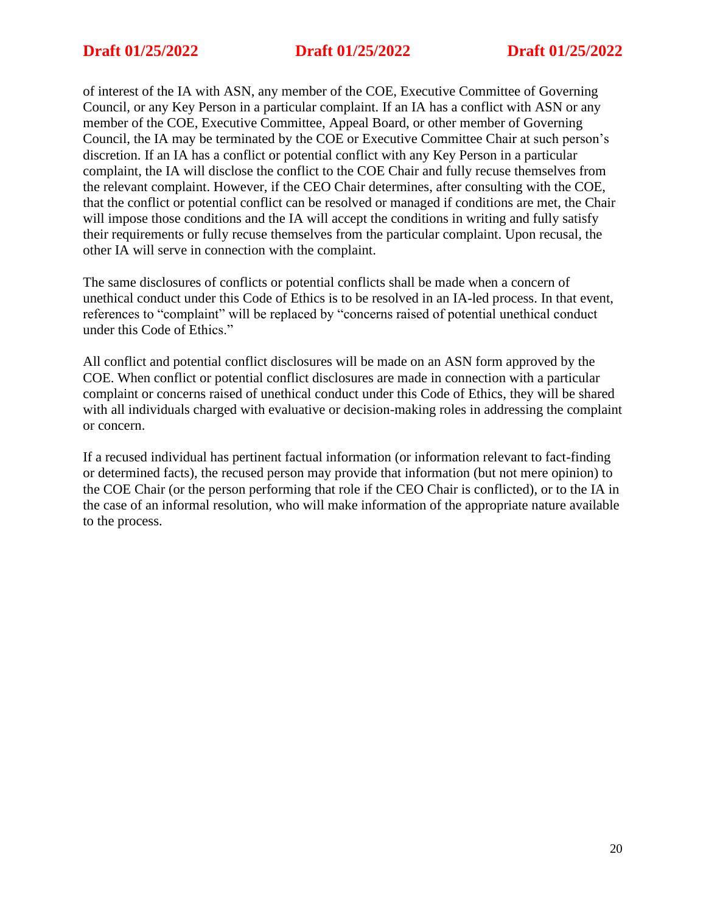of interest of the IA with ASN, any member of the COE, Executive Committee of Governing Council, or any Key Person in a particular complaint. If an IA has a conflict with ASN or any member of the COE, Executive Committee, Appeal Board, or other member of Governing Council, the IA may be terminated by the COE or Executive Committee Chair at such person's discretion. If an IA has a conflict or potential conflict with any Key Person in a particular complaint, the IA will disclose the conflict to the COE Chair and fully recuse themselves from the relevant complaint. However, if the CEO Chair determines, after consulting with the COE, that the conflict or potential conflict can be resolved or managed if conditions are met, the Chair will impose those conditions and the IA will accept the conditions in writing and fully satisfy their requirements or fully recuse themselves from the particular complaint. Upon recusal, the other IA will serve in connection with the complaint.

The same disclosures of conflicts or potential conflicts shall be made when a concern of unethical conduct under this Code of Ethics is to be resolved in an IA-led process. In that event, references to "complaint" will be replaced by "concerns raised of potential unethical conduct under this Code of Ethics."

All conflict and potential conflict disclosures will be made on an ASN form approved by the COE. When conflict or potential conflict disclosures are made in connection with a particular complaint or concerns raised of unethical conduct under this Code of Ethics, they will be shared with all individuals charged with evaluative or decision-making roles in addressing the complaint or concern.

If a recused individual has pertinent factual information (or information relevant to fact-finding or determined facts), the recused person may provide that information (but not mere opinion) to the COE Chair (or the person performing that role if the CEO Chair is conflicted), or to the IA in the case of an informal resolution, who will make information of the appropriate nature available to the process.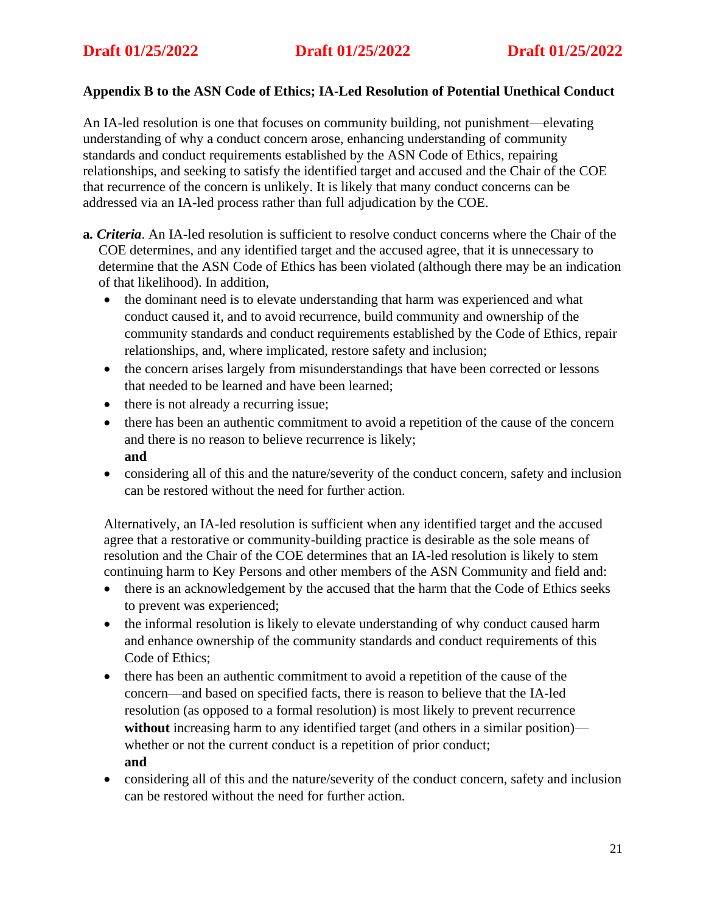## **Appendix B to the ASN Code of Ethics; IA-Led Resolution of Potential Unethical Conduct**

An IA-led resolution is one that focuses on community building, not punishment—elevating understanding of why a conduct concern arose, enhancing understanding of community standards and conduct requirements established by the ASN Code of Ethics, repairing relationships, and seeking to satisfy the identified target and accused and the Chair of the COE that recurrence of the concern is unlikely. It is likely that many conduct concerns can be addressed via an IA-led process rather than full adjudication by the COE.

- **a***. Criteria*. An IA-led resolution is sufficient to resolve conduct concerns where the Chair of the COE determines, and any identified target and the accused agree, that it is unnecessary to determine that the ASN Code of Ethics has been violated (although there may be an indication of that likelihood). In addition,
	- the dominant need is to elevate understanding that harm was experienced and what conduct caused it, and to avoid recurrence, build community and ownership of the community standards and conduct requirements established by the Code of Ethics, repair relationships, and, where implicated, restore safety and inclusion;
	- the concern arises largely from misunderstandings that have been corrected or lessons that needed to be learned and have been learned;
	- there is not already a recurring issue;
	- there has been an authentic commitment to avoid a repetition of the cause of the concern and there is no reason to believe recurrence is likely; **and**
	- considering all of this and the nature/severity of the conduct concern, safety and inclusion can be restored without the need for further action.

Alternatively, an IA-led resolution is sufficient when any identified target and the accused agree that a restorative or community-building practice is desirable as the sole means of resolution and the Chair of the COE determines that an IA-led resolution is likely to stem continuing harm to Key Persons and other members of the ASN Community and field and:

- there is an acknowledgement by the accused that the harm that the Code of Ethics seeks to prevent was experienced;
- the informal resolution is likely to elevate understanding of why conduct caused harm and enhance ownership of the community standards and conduct requirements of this Code of Ethics;
- there has been an authentic commitment to avoid a repetition of the cause of the concern—and based on specified facts, there is reason to believe that the IA-led resolution (as opposed to a formal resolution) is most likely to prevent recurrence **without** increasing harm to any identified target (and others in a similar position) whether or not the current conduct is a repetition of prior conduct; **and**
- considering all of this and the nature/severity of the conduct concern, safety and inclusion can be restored without the need for further action*.*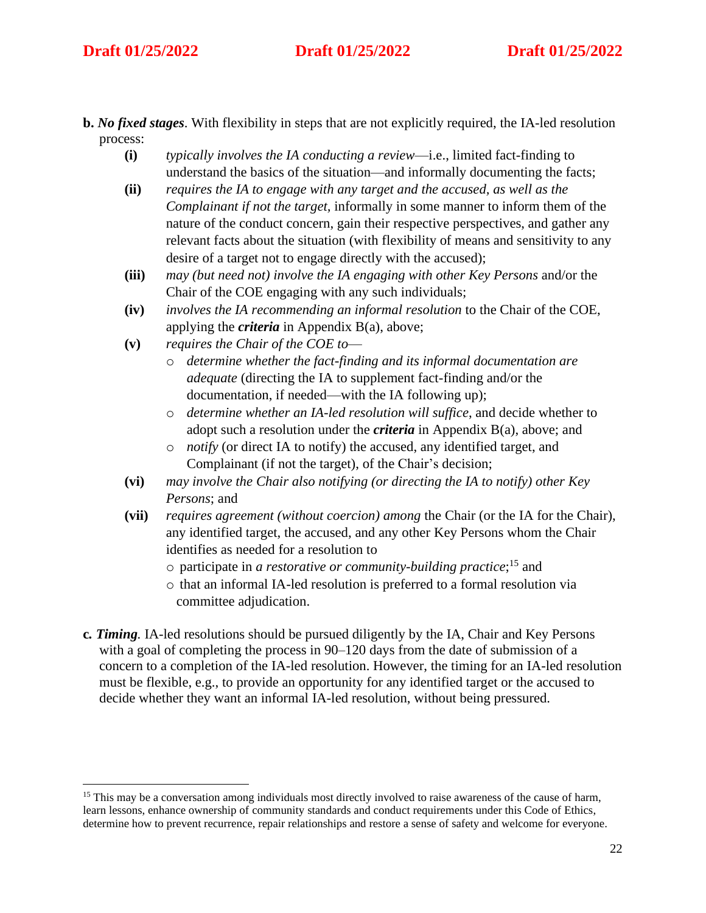# **Draft 01/25/2022 Draft 01/25/2022 Draft 01/25/2022**

- **b.** *No fixed stages*. With flexibility in steps that are not explicitly required, the IA-led resolution process:
	- **(i)** *typically involves the IA conducting a review*—i.e., limited fact-finding to understand the basics of the situation—and informally documenting the facts;
	- **(ii)** *requires the IA to engage with any target and the accused, as well as the Complainant if not the target,* informally in some manner to inform them of the nature of the conduct concern, gain their respective perspectives, and gather any relevant facts about the situation (with flexibility of means and sensitivity to any desire of a target not to engage directly with the accused);
	- **(iii)** *may (but need not) involve the IA engaging with other Key Persons* and/or the Chair of the COE engaging with any such individuals;
	- **(iv)** *involves the IA recommending an informal resolution* to the Chair of the COE, applying the *criteria* in Appendix B(a), above;
	- **(v)** *requires the Chair of the COE to*
		- o *determine whether the fact-finding and its informal documentation are adequate* (directing the IA to supplement fact-finding and/or the documentation, if needed—with the IA following up);
		- o *determine whether an IA-led resolution will suffice*, and decide whether to adopt such a resolution under the *criteria* in Appendix B(a), above; and
		- o *notify* (or direct IA to notify) the accused, any identified target, and Complainant (if not the target), of the Chair's decision;
	- **(vi)** *may involve the Chair also notifying (or directing the IA to notify) other Key Persons*; and
	- **(vii)** *requires agreement (without coercion) among* the Chair (or the IA for the Chair), any identified target, the accused, and any other Key Persons whom the Chair identifies as needed for a resolution to
		- o participate in *a restorative or community-building practice*; <sup>15</sup> and
		- o that an informal IA-led resolution is preferred to a formal resolution via committee adjudication.
- **c***. Timing.* IA-led resolutions should be pursued diligently by the IA, Chair and Key Persons with a goal of completing the process in 90–120 days from the date of submission of a concern to a completion of the IA-led resolution. However, the timing for an IA-led resolution must be flexible, e.g., to provide an opportunity for any identified target or the accused to decide whether they want an informal IA-led resolution, without being pressured.

<sup>&</sup>lt;sup>15</sup> This may be a conversation among individuals most directly involved to raise awareness of the cause of harm, learn lessons, enhance ownership of community standards and conduct requirements under this Code of Ethics, determine how to prevent recurrence, repair relationships and restore a sense of safety and welcome for everyone.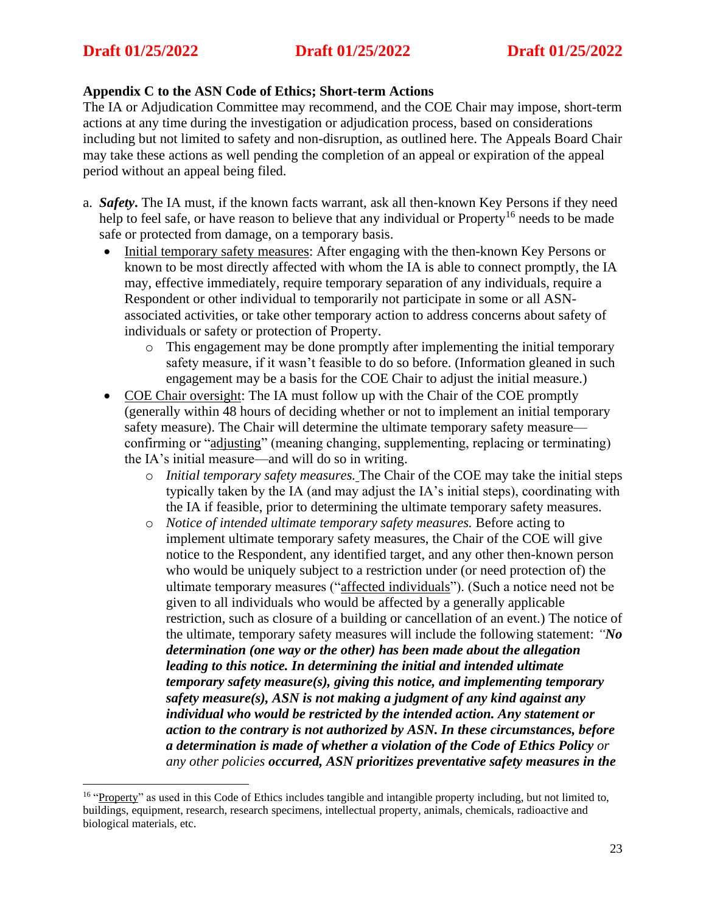## **Appendix C to the ASN Code of Ethics; Short-term Actions**

The IA or Adjudication Committee may recommend, and the COE Chair may impose, short-term actions at any time during the investigation or adjudication process, based on considerations including but not limited to safety and non-disruption, as outlined here. The Appeals Board Chair may take these actions as well pending the completion of an appeal or expiration of the appeal period without an appeal being filed.

- a. *Safety***.** The IA must, if the known facts warrant, ask all then-known Key Persons if they need help to feel safe, or have reason to believe that any individual or Property<sup>16</sup> needs to be made safe or protected from damage, on a temporary basis.
	- Initial temporary safety measures: After engaging with the then-known Key Persons or known to be most directly affected with whom the IA is able to connect promptly, the IA may, effective immediately, require temporary separation of any individuals, require a Respondent or other individual to temporarily not participate in some or all ASNassociated activities, or take other temporary action to address concerns about safety of individuals or safety or protection of Property.
		- o This engagement may be done promptly after implementing the initial temporary safety measure, if it wasn't feasible to do so before. (Information gleaned in such engagement may be a basis for the COE Chair to adjust the initial measure.)
	- COE Chair oversight: The IA must follow up with the Chair of the COE promptly (generally within 48 hours of deciding whether or not to implement an initial temporary safety measure). The Chair will determine the ultimate temporary safety measure confirming or "adjusting" (meaning changing, supplementing, replacing or terminating) the IA's initial measure—and will do so in writing.
		- o *Initial temporary safety measures.* The Chair of the COE may take the initial steps typically taken by the IA (and may adjust the IA's initial steps), coordinating with the IA if feasible, prior to determining the ultimate temporary safety measures.
		- o *Notice of intended ultimate temporary safety measures.* Before acting to implement ultimate temporary safety measures, the Chair of the COE will give notice to the Respondent, any identified target, and any other then-known person who would be uniquely subject to a restriction under (or need protection of) the ultimate temporary measures ("affected individuals"). (Such a notice need not be given to all individuals who would be affected by a generally applicable restriction, such as closure of a building or cancellation of an event.) The notice of the ultimate, temporary safety measures will include the following statement: *"No determination (one way or the other) has been made about the allegation leading to this notice. In determining the initial and intended ultimate temporary safety measure(s), giving this notice, and implementing temporary safety measure(s), ASN is not making a judgment of any kind against any individual who would be restricted by the intended action. Any statement or action to the contrary is not authorized by ASN. In these circumstances, before a determination is made of whether a violation of the Code of Ethics Policy or any other policies occurred, ASN prioritizes preventative safety measures in the*

<sup>&</sup>lt;sup>16</sup> "Property" as used in this Code of Ethics includes tangible and intangible property including, but not limited to, buildings, equipment, research, research specimens, intellectual property, animals, chemicals, radioactive and biological materials, etc.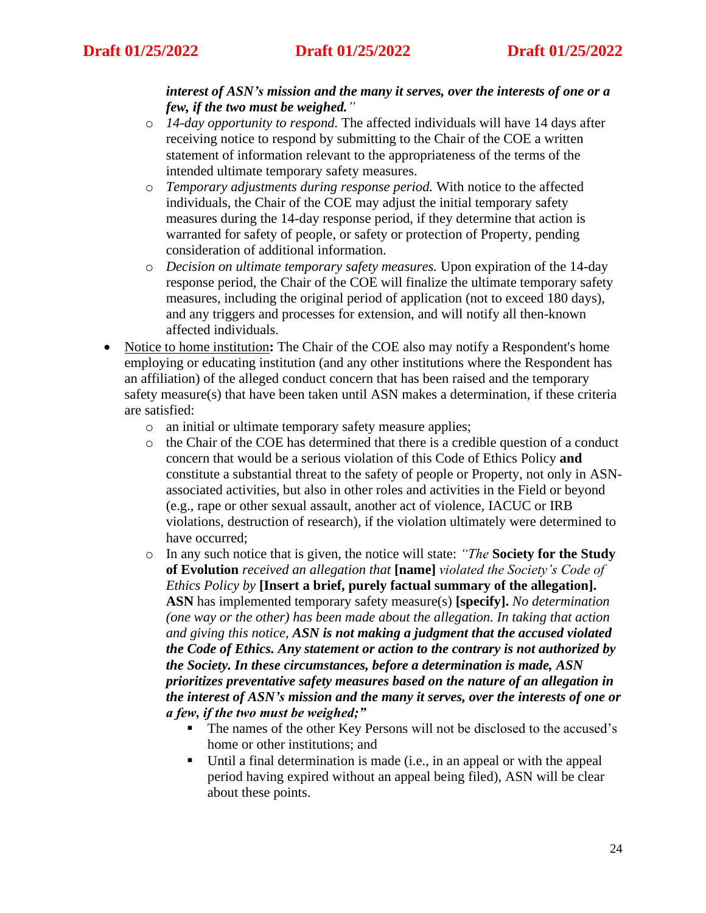### *interest of ASN's mission and the many it serves, over the interests of one or a few, if the two must be weighed."*

- o *14-day opportunity to respond.* The affected individuals will have 14 days after receiving notice to respond by submitting to the Chair of the COE a written statement of information relevant to the appropriateness of the terms of the intended ultimate temporary safety measures.
- o *Temporary adjustments during response period.* With notice to the affected individuals, the Chair of the COE may adjust the initial temporary safety measures during the 14-day response period, if they determine that action is warranted for safety of people, or safety or protection of Property, pending consideration of additional information.
- o *Decision on ultimate temporary safety measures.* Upon expiration of the 14-day response period, the Chair of the COE will finalize the ultimate temporary safety measures, including the original period of application (not to exceed 180 days), and any triggers and processes for extension, and will notify all then-known affected individuals.
- Notice to home institution**:** The Chair of the COE also may notify a Respondent's home employing or educating institution (and any other institutions where the Respondent has an affiliation) of the alleged conduct concern that has been raised and the temporary safety measure(s) that have been taken until ASN makes a determination, if these criteria are satisfied:
	- o an initial or ultimate temporary safety measure applies;
	- $\circ$  the Chair of the COE has determined that there is a credible question of a conduct concern that would be a serious violation of this Code of Ethics Policy **and** constitute a substantial threat to the safety of people or Property, not only in ASNassociated activities, but also in other roles and activities in the Field or beyond (e.g., rape or other sexual assault, another act of violence, IACUC or IRB violations, destruction of research), if the violation ultimately were determined to have occurred;
	- o In any such notice that is given, the notice will state: *"The* **Society for the Study of Evolution** *received an allegation that* **[name]** *violated the Society's Code of Ethics Policy by* **[Insert a brief, purely factual summary of the allegation]. ASN** has implemented temporary safety measure(s) **[specify].** *No determination (one way or the other) has been made about the allegation. In taking that action and giving this notice, ASN is not making a judgment that the accused violated the Code of Ethics. Any statement or action to the contrary is not authorized by the Society. In these circumstances, before a determination is made, ASN prioritizes preventative safety measures based on the nature of an allegation in the interest of ASN's mission and the many it serves, over the interests of one or a few, if the two must be weighed;"*
		- The names of the other Key Persons will not be disclosed to the accused's home or other institutions; and
		- Until a final determination is made (i.e., in an appeal or with the appeal period having expired without an appeal being filed), ASN will be clear about these points.